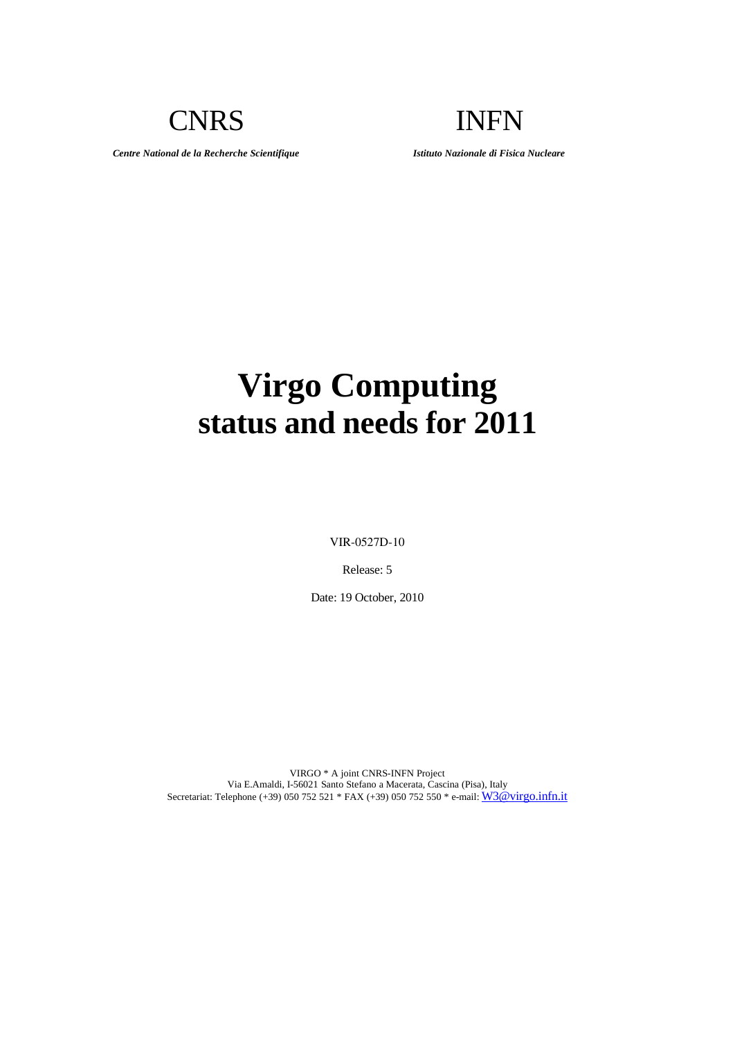CNRS INFN

*Centre National de la Recherche Scientifique Istituto Nazionale di Fisica Nucleare*

# **Virgo Computing status and needs for 2011**

VIR-0527D-10

Release: 5

Date: 19 October, 2010

VIRGO \* A joint CNRS-INFN Project Via E.Amaldi, I-56021 Santo Stefano a Macerata, Cascina (Pisa), Italy Secretariat: Telephone (+39) 050 752 521 \* FAX (+39) 050 752 550 \* e-mail: [W3@virgo.infn.it](mailto:virgo@Pisa.infn.it)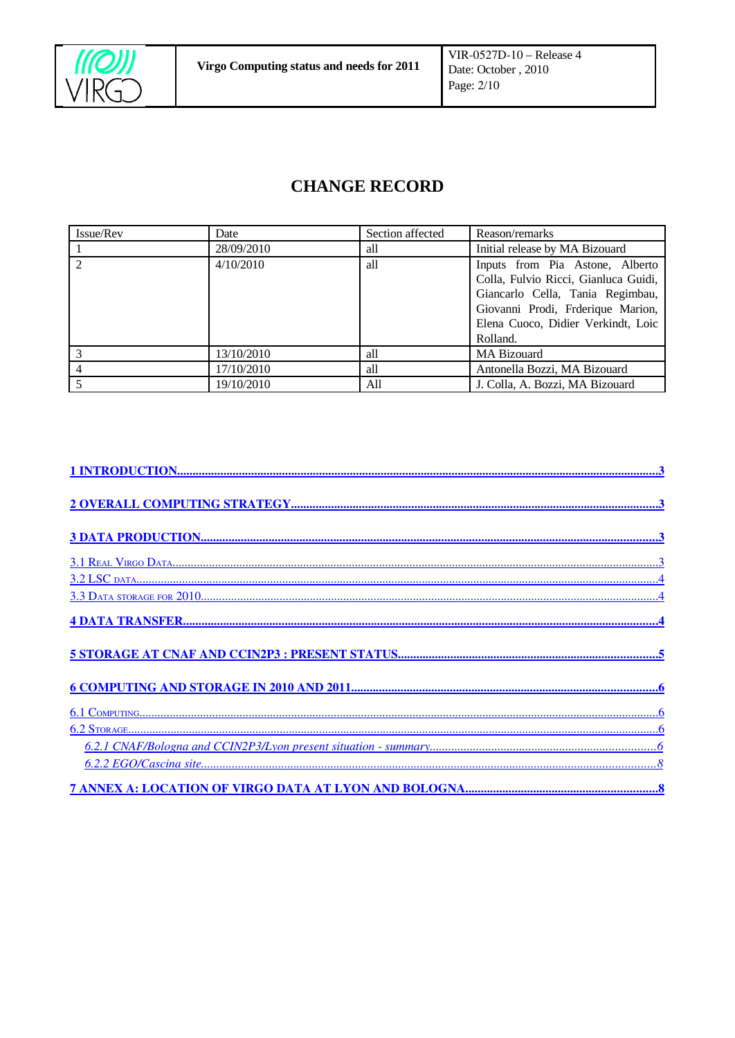

## **CHANGE RECORD**

| Issue/Rev | Date       | Section affected | Reason/remarks                                                                                                                                                                                     |
|-----------|------------|------------------|----------------------------------------------------------------------------------------------------------------------------------------------------------------------------------------------------|
|           | 28/09/2010 | all              | Initial release by MA Bizouard                                                                                                                                                                     |
|           | 4/10/2010  | all              | Inputs from Pia Astone, Alberto<br>Colla, Fulvio Ricci, Gianluca Guidi,<br>Giancarlo Cella, Tania Regimbau,<br>Giovanni Prodi, Frderique Marion,<br>Elena Cuoco, Didier Verkindt, Loic<br>Rolland. |
|           | 13/10/2010 | all              | MA Bizouard                                                                                                                                                                                        |
|           | 17/10/2010 | all              | Antonella Bozzi, MA Bizouard                                                                                                                                                                       |
|           | 19/10/2010 | All              | J. Colla, A. Bozzi, MA Bizouard                                                                                                                                                                    |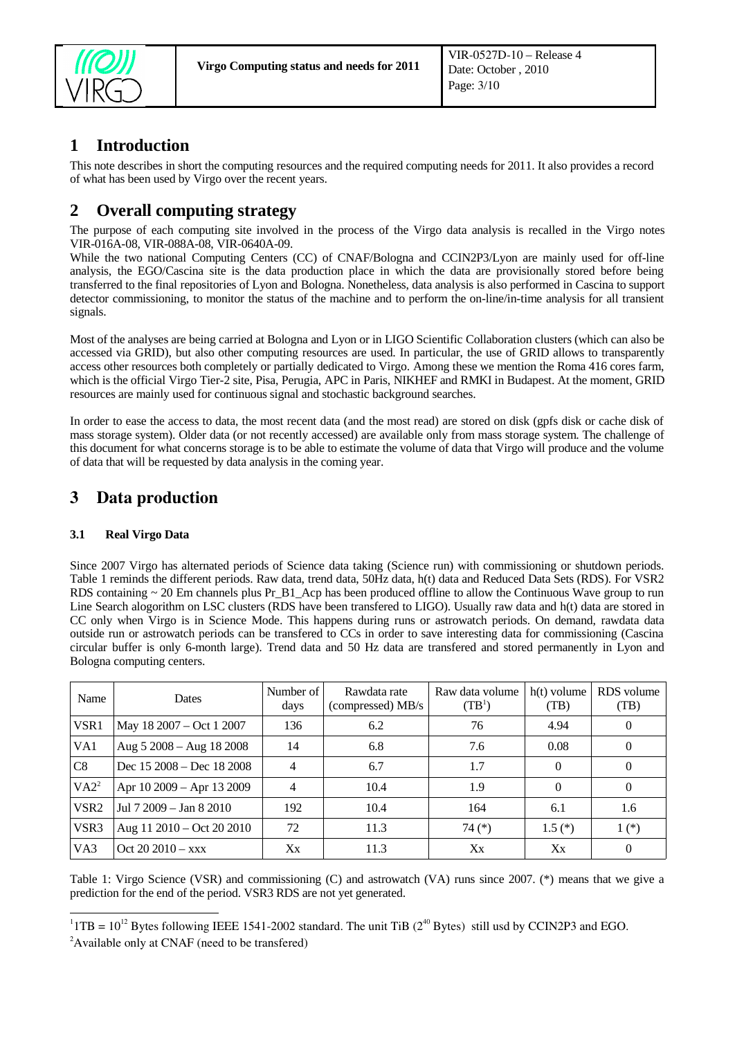

## <span id="page-2-3"></span>**1 Introduction**

This note describes in short the computing resources and the required computing needs for 2011. It also provides a record of what has been used by Virgo over the recent years.

## <span id="page-2-2"></span>**2 Overall computing strategy**

The purpose of each computing site involved in the process of the Virgo data analysis is recalled in the Virgo notes VIR-016A-08, VIR-088A-08, VIR-0640A-09.

While the two national Computing Centers (CC) of CNAF/Bologna and CCIN2P3/Lyon are mainly used for off-line analysis, the EGO/Cascina site is the data production place in which the data are provisionally stored before being transferred to the final repositories of Lyon and Bologna. Nonetheless, data analysis is also performed in Cascina to support detector commissioning, to monitor the status of the machine and to perform the on-line/in-time analysis for all transient signals.

Most of the analyses are being carried at Bologna and Lyon or in LIGO Scientific Collaboration clusters (which can also be accessed via GRID), but also other computing resources are used. In particular, the use of GRID allows to transparently access other resources both completely or partially dedicated to Virgo. Among these we mention the Roma 416 cores farm, which is the official Virgo Tier-2 site, Pisa, Perugia, APC in Paris, NIKHEF and RMKI in Budapest. At the moment, GRID resources are mainly used for continuous signal and stochastic background searches.

In order to ease the access to data, the most recent data (and the most read) are stored on disk (gpfs disk or cache disk of mass storage system). Older data (or not recently accessed) are available only from mass storage system. The challenge of this document for what concerns storage is to be able to estimate the volume of data that Virgo will produce and the volume of data that will be requested by data analysis in the coming year.

## <span id="page-2-1"></span>3 Data production

#### <span id="page-2-0"></span>**3.1 Real Virgo Data**

Since 2007 Virgo has alternated periods of Science data taking (Science run) with commissioning or shutdown periods. Table 1 reminds the different periods. Raw data, trend data, 50Hz data, h(t) data and Reduced Data Sets (RDS). For VSR2 RDS containing  $\sim$  20 Em channels plus Pr\_B1\_Acp has been produced offline to allow the Continuous Wave group to run Line Search alogorithm on LSC clusters (RDS have been transfered to LIGO). Usually raw data and h(t) data are stored in CC only when Virgo is in Science Mode. This happens during runs or astrowatch periods. On demand, rawdata data outside run or astrowatch periods can be transfered to CCs in order to save interesting data for commissioning (Cascina circular buffer is only 6-month large). Trend data and 50 Hz data are transfered and stored permanently in Lyon and Bologna computing centers.

| Name             | Dates                     | Number of<br>days | Rawdata rate<br>(compressed) MB/s | Raw data volume<br>(TB <sup>1</sup> ) | h(t) volume<br>(TB) | RDS volume<br>(TB) |
|------------------|---------------------------|-------------------|-----------------------------------|---------------------------------------|---------------------|--------------------|
| VSR1             | May 18 2007 – Oct 1 2007  | 136               | 6.2                               | 76                                    | 4.94                | $\bf{0}$           |
| VA1              | Aug 5 2008 - Aug 18 2008  | 14                | 6.8                               | 7.6                                   | 0.08                | $\bf{0}$           |
| C8               | Dec 15 2008 - Dec 18 2008 | $\overline{4}$    | 6.7                               | 1.7                                   | 0                   | $\theta$           |
| $V A2^2$         | Apr 10 2009 - Apr 13 2009 | 4                 | 10.4                              | 1.9                                   | 0                   | $\theta$           |
| VSR <sub>2</sub> | Jul 7 2009 - Jan 8 2010   | 192               | 10.4                              | 164                                   | 6.1                 | 1.6                |
| VSR3             | Aug 11 2010 - Oct 20 2010 | 72                | 11.3                              | 74 (*)                                | $1.5(*)$            | $1(*)$             |
| VA3              | Oct 20 $2010 - xxx$       | Xх                | 11.3                              | Xx                                    | Xx                  | $\bf{0}$           |

Table 1: Virgo Science (VSR) and commissioning (C) and astrowatch (VA) runs since 2007. (\*) means that we give a prediction for the end of the period. VSR3 RDS are not yet generated.

<span id="page-2-4"></span><sup>&</sup>lt;sup>1</sup> 1TB = 10<sup>12</sup> Bytes following IEEE 1541-2002 standard. The unit TiB ( $2^{40}$  Bytes) still usd by CCIN2P3 and EGO.

<span id="page-2-5"></span><sup>&</sup>lt;sup>2</sup>Available only at CNAF (need to be transfered)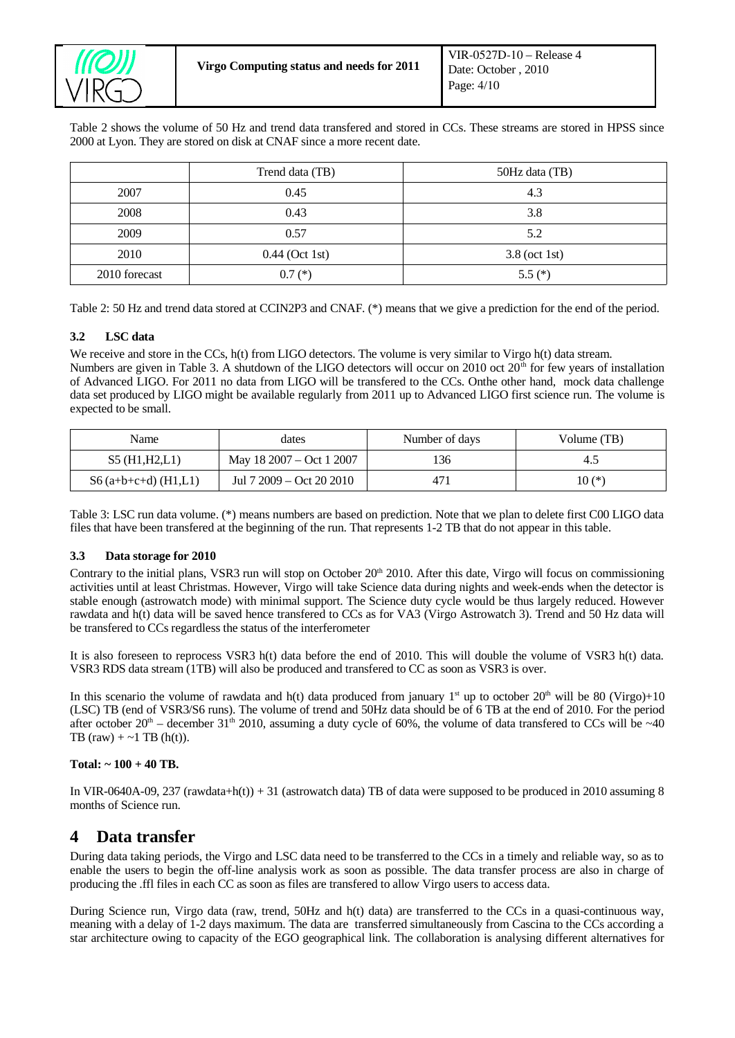

Table 2 shows the volume of 50 Hz and trend data transfered and stored in CCs. These streams are stored in HPSS since 2000 at Lyon. They are stored on disk at CNAF since a more recent date.

|               | Trend data (TB)  | 50Hz data (TB) |
|---------------|------------------|----------------|
| 2007          | 0.45             | 4.3            |
| 2008          | 0.43             | 3.8            |
| 2009          | 0.57             | 5.2            |
| 2010          | $0.44$ (Oct 1st) | 3.8 (oct 1st)  |
| 2010 forecast | $0.7$ $(*)$      | $5.5(*)$       |

Table 2: 50 Hz and trend data stored at CCIN2P3 and CNAF. (\*) means that we give a prediction for the end of the period.

### <span id="page-3-2"></span>**3.2 LSC data**

We receive and store in the CCs, h(t) from LIGO detectors. The volume is very similar to Virgo h(t) data stream. Numbers are given in Table 3. A shutdown of the LIGO detectors will occur on 2010 oct  $20<sup>th</sup>$  for few years of installation of Advanced LIGO. For 2011 no data from LIGO will be transfered to the CCs. Onthe other hand, mock data challenge data set produced by LIGO might be available regularly from 2011 up to Advanced LIGO first science run. The volume is expected to be small.

| Name.                 | dates                    | Number of days | Volume (TB) |
|-----------------------|--------------------------|----------------|-------------|
| S5 (H1, H2, L1)       | May 18 2007 – Oct 1 2007 | 136            |             |
| $S6(a+b+c+d)$ (H1,L1) | Jul 7 2009 – Oct 20 2010 | 471            | $10(*)$     |

Table 3: LSC run data volume. (\*) means numbers are based on prediction. Note that we plan to delete first C00 LIGO data files that have been transfered at the beginning of the run. That represents 1-2 TB that do not appear in this table.

#### <span id="page-3-1"></span>**3.3 Data storage for 2010**

Contrary to the initial plans, VSR3 run will stop on October  $20<sup>th</sup> 2010$ . After this date, Virgo will focus on commissioning activities until at least Christmas. However, Virgo will take Science data during nights and week-ends when the detector is stable enough (astrowatch mode) with minimal support. The Science duty cycle would be thus largely reduced. However rawdata and h(t) data will be saved hence transfered to CCs as for VA3 (Virgo Astrowatch 3). Trend and 50 Hz data will be transfered to CCs regardless the status of the interferometer

It is also foreseen to reprocess VSR3 h(t) data before the end of 2010. This will double the volume of VSR3 h(t) data. VSR3 RDS data stream (1TB) will also be produced and transfered to CC as soon as VSR3 is over.

In this scenario the volume of rawdata and h(t) data produced from january  $1^{st}$  up to october  $20^{th}$  will be 80 (Virgo)+10 (LSC) TB (end of VSR3/S6 runs). The volume of trend and 50Hz data should be of 6 TB at the end of 2010. For the period after october 20<sup>th</sup> – december 31<sup>th</sup> 2010, assuming a duty cycle of 60%, the volume of data transfered to CCs will be ~40 TB (raw)  $+ \sim 1$  TB (h(t)).

#### **Total: ~ 100 + 40 TB.**

In VIR-0640A-09, 237 (rawdata+h(t)) + 31 (astrowatch data) TB of data were supposed to be produced in 2010 assuming 8 months of Science run.

## <span id="page-3-0"></span>**4 Data transfer**

During data taking periods, the Virgo and LSC data need to be transferred to the CCs in a timely and reliable way, so as to enable the users to begin the off-line analysis work as soon as possible. The data transfer process are also in charge of producing the .ffl files in each CC as soon as files are transfered to allow Virgo users to access data.

During Science run, Virgo data (raw, trend, 50Hz and h(t) data) are transferred to the CCs in a quasi-continuous way, meaning with a delay of 1-2 days maximum. The data are transferred simultaneously from Cascina to the CCs according a star architecture owing to capacity of the EGO geographical link. The collaboration is analysing different alternatives for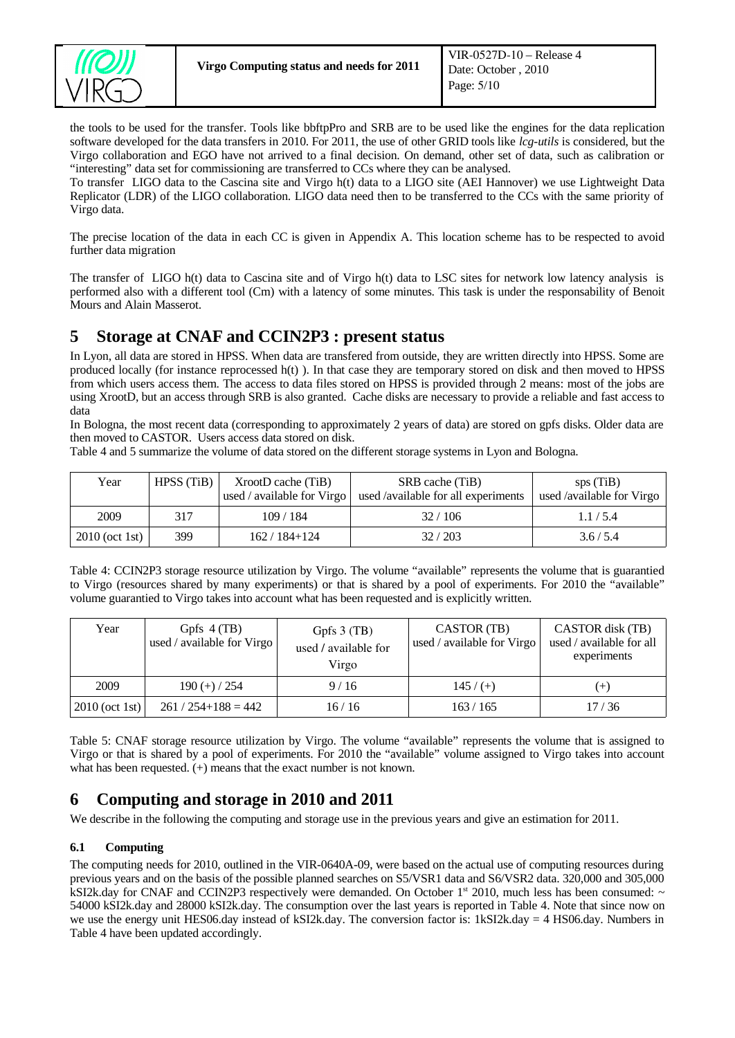

the tools to be used for the transfer. Tools like bbftpPro and SRB are to be used like the engines for the data replication software developed for the data transfers in 2010. For 2011, the use of other GRID tools like *lcg-utils* is considered, but the Virgo collaboration and EGO have not arrived to a final decision. On demand, other set of data, such as calibration or "interesting" data set for commissioning are transferred to CCs where they can be analysed.

To transfer LIGO data to the Cascina site and Virgo h(t) data to a LIGO site (AEI Hannover) we use Lightweight Data Replicator (LDR) of the LIGO collaboration. LIGO data need then to be transferred to the CCs with the same priority of Virgo data.

The precise location of the data in each CC is given in Appendix A. This location scheme has to be respected to avoid further data migration

The transfer of LIGO h(t) data to Cascina site and of Virgo h(t) data to LSC sites for network low latency analysis is performed also with a different tool (Cm) with a latency of some minutes. This task is under the responsability of Benoit Mours and Alain Masserot.

## <span id="page-4-2"></span>**5 Storage at CNAF and CCIN2P3 : present status**

In Lyon, all data are stored in HPSS. When data are transfered from outside, they are written directly into HPSS. Some are produced locally (for instance reprocessed h(t) ). In that case they are temporary stored on disk and then moved to HPSS from which users access them. The access to data files stored on HPSS is provided through 2 means: most of the jobs are using XrootD, but an access through SRB is also granted. Cache disks are necessary to provide a reliable and fast access to data

In Bologna, the most recent data (corresponding to approximately 2 years of data) are stored on gpfs disks. Older data are then moved to CASTOR. Users access data stored on disk.

Table 4 and 5 summarize the volume of data stored on the different storage systems in Lyon and Bologna.

| Year               | HPSS(TiB) | XrootD cache (TiB)<br>used / available for Virgo | SRB cache (TiB)<br>used /available for all experiments | sps(TiB)<br>used /available for Virgo |
|--------------------|-----------|--------------------------------------------------|--------------------------------------------------------|---------------------------------------|
| 2009               | 317       | 109/184                                          | 32/106                                                 | 1.1/5.4                               |
| 2010 (oct 1st) $ $ | 399       | 162 / 184+124                                    | 32/203                                                 | 3.6/5.4                               |

Table 4: CCIN2P3 storage resource utilization by Virgo. The volume "available" represents the volume that is guarantied to Virgo (resources shared by many experiments) or that is shared by a pool of experiments. For 2010 the "available" volume guarantied to Virgo takes into account what has been requested and is explicitly written.

| Year             | Gpfs $4(TB)$<br>used / available for Virgo | Gpfs $3$ (TB)<br>used / available for<br>Virgo | CASTOR (TB)<br>used / available for Virgo | CASTOR disk (TB)<br>used / available for all<br>experiments |
|------------------|--------------------------------------------|------------------------------------------------|-------------------------------------------|-------------------------------------------------------------|
| 2009             | $190 (+) / 254$                            | 9/16                                           | $145/$ (+)                                | $^{(+)}$                                                    |
| $2010$ (oct 1st) | $261 / 254 + 188 = 442$                    | 16/16                                          | 163/165                                   | 17/36                                                       |

Table 5: CNAF storage resource utilization by Virgo. The volume "available" represents the volume that is assigned to Virgo or that is shared by a pool of experiments. For 2010 the "available" volume assigned to Virgo takes into account what has been requested.  $(+)$  means that the exact number is not known.

## <span id="page-4-1"></span>**6 Computing and storage in 2010 and 2011**

We describe in the following the computing and storage use in the previous years and give an estimation for 2011.

## <span id="page-4-0"></span>**6.1 Computing**

The computing needs for 2010, outlined in the VIR-0640A-09, were based on the actual use of computing resources during previous years and on the basis of the possible planned searches on S5/VSR1 data and S6/VSR2 data. 320,000 and 305,000 kSI2k.day for CNAF and CCIN2P3 respectively were demanded. On October  $1<sup>st</sup>$  2010, much less has been consumed:  $\sim$ 54000 kSI2k.day and 28000 kSI2k.day. The consumption over the last years is reported in Table 4. Note that since now on we use the energy unit HES06.day instead of kSI2k.day. The conversion factor is: 1kSI2k.day = 4 HS06.day. Numbers in Table 4 have been updated accordingly.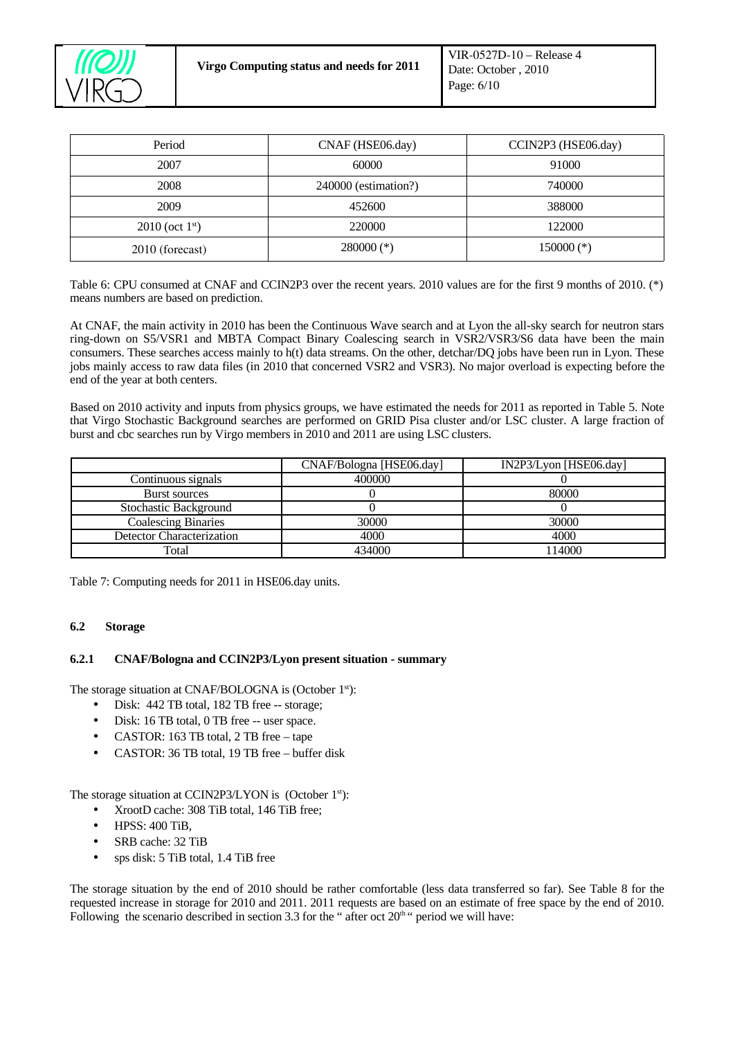

| Period              | CNAF (HSE06.day)     | CCIN2P3 (HSE06.day) |
|---------------------|----------------------|---------------------|
| 2007                | 60000                | 91000               |
| 2008                | 240000 (estimation?) | 740000              |
| 2009                | 452600               | 388000              |
| $2010$ (oct $1st$ ) | 220000               | 122000              |
| 2010 (forecast)     | $280000$ (*)         | $150000$ (*)        |

Table 6: CPU consumed at CNAF and CCIN2P3 over the recent years. 2010 values are for the first 9 months of 2010. (\*) means numbers are based on prediction.

At CNAF, the main activity in 2010 has been the Continuous Wave search and at Lyon the all-sky search for neutron stars ring-down on S5/VSR1 and MBTA Compact Binary Coalescing search in VSR2/VSR3/S6 data have been the main consumers. These searches access mainly to h(t) data streams. On the other, detchar/DQ jobs have been run in Lyon. These jobs mainly access to raw data files (in 2010 that concerned VSR2 and VSR3). No major overload is expecting before the end of the year at both centers.

Based on 2010 activity and inputs from physics groups, we have estimated the needs for 2011 as reported in Table 5. Note that Virgo Stochastic Background searches are performed on GRID Pisa cluster and/or LSC cluster. A large fraction of burst and cbc searches run by Virgo members in 2010 and 2011 are using LSC clusters.

|                            | CNAF/Bologna [HSE06.day] | IN2P3/Lyon [HSE06.day] |
|----------------------------|--------------------------|------------------------|
| Continuous signals         | 400000                   |                        |
| Burst sources              |                          | 80000                  |
| Stochastic Background      |                          |                        |
| <b>Coalescing Binaries</b> | 30000                    | 30000                  |
| Detector Characterization  | 4000                     | 4000                   |
| Total                      | 434000                   | 114000                 |

Table 7: Computing needs for 2011 in HSE06.day units.

#### <span id="page-5-1"></span>**6.2 Storage**

#### <span id="page-5-0"></span>**6.2.1 CNAF/Bologna and CCIN2P3/Lyon present situation - summary**

The storage situation at CNAF/BOLOGNA is (October 1<sup>st</sup>):

- Disk: 442 TB total, 182 TB free -- storage;
- Disk: 16 TB total, 0 TB free -- user space.
- CASTOR: 163 TB total, 2 TB free tape
- CASTOR: 36 TB total, 19 TB free buffer disk

The storage situation at CCIN2P3/LYON is (October 1<sup>st</sup>):

- XrootD cache: 308 TiB total, 146 TiB free;
- HPSS: 400 TiB,
- SRB cache: 32 TiB
- sps disk: 5 TiB total, 1.4 TiB free

The storage situation by the end of 2010 should be rather comfortable (less data transferred so far). See Table 8 for the requested increase in storage for 2010 and 2011. 2011 requests are based on an estimate of free space by the end of 2010. Following the scenario described in section 3.3 for the " after oct  $20<sup>th</sup>$ " period we will have: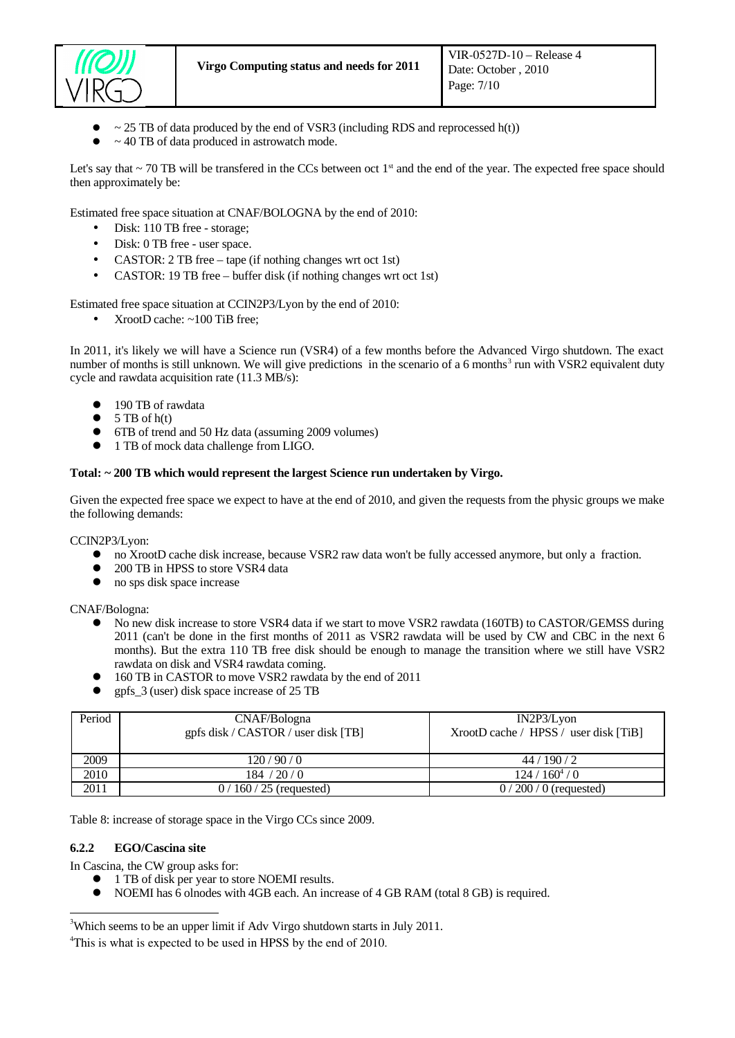

- $\sim$  25 TB of data produced by the end of VSR3 (including RDS and reprocessed h(t))
- $\bullet$  ~ 40 TB of data produced in astrowatch mode.

Let's say that  $\sim$  70 TB will be transfered in the CCs between oct 1<sup>st</sup> and the end of the year. The expected free space should then approximately be:

Estimated free space situation at CNAF/BOLOGNA by the end of 2010:

- Disk: 110 TB free storage;
- Disk: 0 TB free user space.
- CASTOR: 2 TB free tape (if nothing changes wrt oct 1st)
- CASTOR: 19 TB free buffer disk (if nothing changes wrt oct 1st)

Estimated free space situation at CCIN2P3/Lyon by the end of 2010:

• XrootD cache: ~100 TiB free:

In 2011, it's likely we will have a Science run (VSR4) of a few months before the Advanced Virgo shutdown. The exact number of months is still unknown. We will give predictions in the scenario of a 6 months<sup>[3](#page-6-1)</sup> run with VSR2 equivalent duty cycle and rawdata acquisition rate (11.3 MB/s):

- 190 TB of rawdata
- $\bullet$  5 TB of  $h(t)$
- 6TB of trend and 50 Hz data (assuming 2009 volumes)
- 1 TB of mock data challenge from LIGO.

#### **Total: ~ 200 TB which would represent the largest Science run undertaken by Virgo.**

Given the expected free space we expect to have at the end of 2010, and given the requests from the physic groups we make the following demands:

CCIN2P3/Lyon:

- no XrootD cache disk increase, because VSR2 raw data won't be fully accessed anymore, but only a fraction.<br>● 200 TB in HPSS to store VSR4 data
- 200 TB in HPSS to store VSR4 data
- no sps disk space increase

CNAF/Bologna:

- No new disk increase to store VSR4 data if we start to move VSR2 rawdata (160TB) to CASTOR/GEMSS during 2011 (can't be done in the first months of 2011 as VSR2 rawdata will be used by CW and CBC in the next 6 months). But the extra 110 TB free disk should be enough to manage the transition where we still have VSR2 rawdata on disk and VSR4 rawdata coming.
- 160 TB in CASTOR to move VSR2 rawdata by the end of 2011
- gpfs\_3 (user) disk space increase of 25 TB

| Period | CNAF/Bologna<br>gpfs disk / CASTOR / user disk [TB] | $IN2P3/L$ von<br>XrootD cache / HPSS / user disk [TiB] |
|--------|-----------------------------------------------------|--------------------------------------------------------|
| 2009   | 120/90/0                                            | 44/190/2                                               |
| 2010   | 184 / 20 / 0                                        | $124/160^{4}/0$                                        |
| 2011   | $0/160/25$ (requested)                              | $0/200/0$ (requested)                                  |

Table 8: increase of storage space in the Virgo CCs since 2009.

#### **6.2.2 EGO/Cascina site**

In Cascina, the CW group asks for:

- <span id="page-6-0"></span>● 1 TB of disk per year to store NOEMI results.
- NOEMI has 6 olnodes with 4GB each. An increase of 4 GB RAM (total 8 GB) is required.

<span id="page-6-1"></span> $3$ Which seems to be an upper limit if Adv Virgo shutdown starts in July 2011.

<span id="page-6-2"></span><sup>&</sup>lt;sup>4</sup>This is what is expected to be used in HPSS by the end of 2010.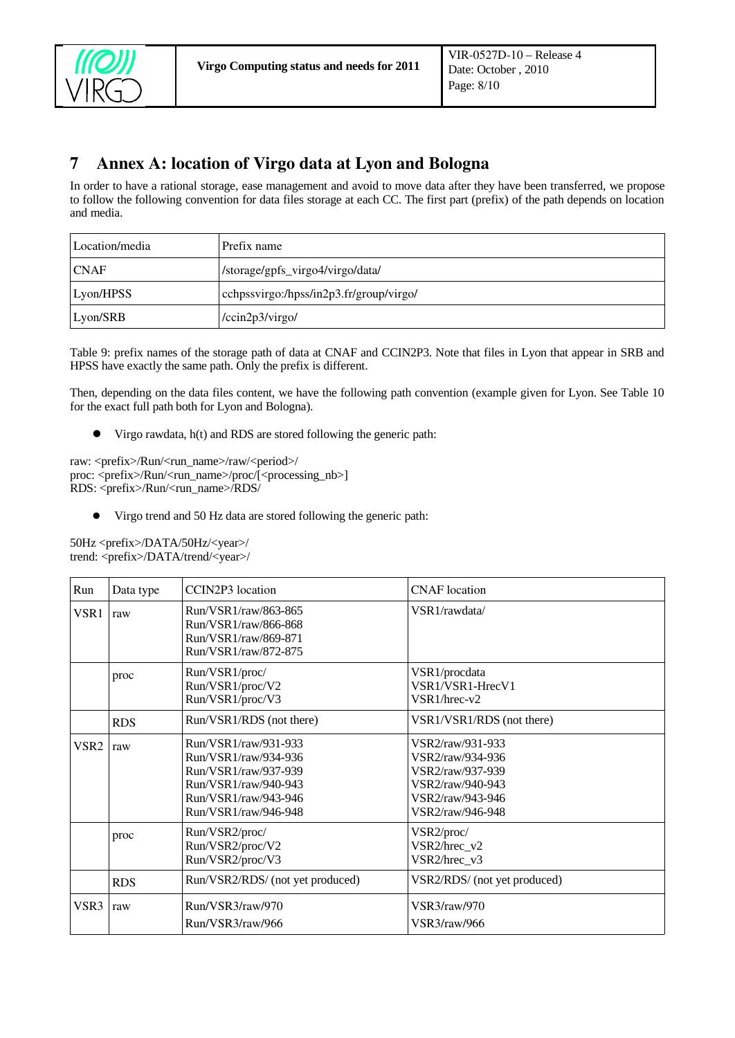

## <span id="page-7-0"></span>7 Annex A: location of Virgo data at Lyon and Bologna

In order to have a rational storage, ease management and avoid to move data after they have been transferred, we propose to follow the following convention for data files storage at each CC. The first part (prefix) of the path depends on location and media.

| Location/media | Prefix name                             |
|----------------|-----------------------------------------|
| CNAF           | /storage/gpfs_virgo4/virgo/data/        |
| Lyon/HPSS      | cchpssvirgo:/hpss/in2p3.fr/group/virgo/ |
| $L$ yon/SRB    | /ccin2p3/virgo/                         |

Table 9: prefix names of the storage path of data at CNAF and CCIN2P3. Note that files in Lyon that appear in SRB and HPSS have exactly the same path. Only the prefix is different.

Then, depending on the data files content, we have the following path convention (example given for Lyon. See Table 10 for the exact full path both for Lyon and Bologna).

Virgo rawdata, h(t) and RDS are stored following the generic path:

raw: <prefix>/Run/<run\_name>/raw/<period>/ proc: <prefix>/Run/<run\_name>/proc/[<processing\_nb>] RDS: <prefix>/Run/<run\_name>/RDS/

Virgo trend and 50 Hz data are stored following the generic path:

50Hz <prefix>/DATA/50Hz/<year>/ trend: <prefix>/DATA/trend/<year>/

| Run              | Data type  | CCIN2P3 location                                                                                                                             | <b>CNAF</b> location                                                                                                 |
|------------------|------------|----------------------------------------------------------------------------------------------------------------------------------------------|----------------------------------------------------------------------------------------------------------------------|
| VSR <sub>1</sub> | raw        | Run/VSR1/raw/863-865<br>Run/VSR1/raw/866-868<br>Run/VSR1/raw/869-871<br>Run/VSR1/raw/872-875                                                 | VSR1/rawdata/                                                                                                        |
|                  | proc       | Run/VSR1/proc/<br>Run/VSR1/proc/V2<br>Run/VSR1/proc/V3                                                                                       | VSR1/procdata<br>VSR1/VSR1-HrecV1<br>VSR1/hrec-v2                                                                    |
|                  | <b>RDS</b> | Run/VSR1/RDS (not there)                                                                                                                     | VSR1/VSR1/RDS (not there)                                                                                            |
| VSR <sub>2</sub> | raw        | Run/VSR1/raw/931-933<br>Run/VSR1/raw/934-936<br>Run/VSR1/raw/937-939<br>Run/VSR1/raw/940-943<br>Run/VSR1/raw/943-946<br>Run/VSR1/raw/946-948 | VSR2/raw/931-933<br>VSR2/raw/934-936<br>VSR2/raw/937-939<br>VSR2/raw/940-943<br>VSR2/raw/943-946<br>VSR2/raw/946-948 |
|                  | proc       | Run/VSR2/proc/<br>Run/VSR2/proc/V2<br>Run/VSR2/proc/V3                                                                                       | VSR2/proc/<br>VSR2/hrec_v2<br>VSR2/hrec v3                                                                           |
|                  | <b>RDS</b> | Run/VSR2/RDS/ (not yet produced)                                                                                                             | VSR2/RDS/ (not yet produced)                                                                                         |
| VSR <sub>3</sub> | raw        | Run/VSR3/raw/970<br>Run/VSR3/raw/966                                                                                                         | VSR3/raw/970<br>VSR3/raw/966                                                                                         |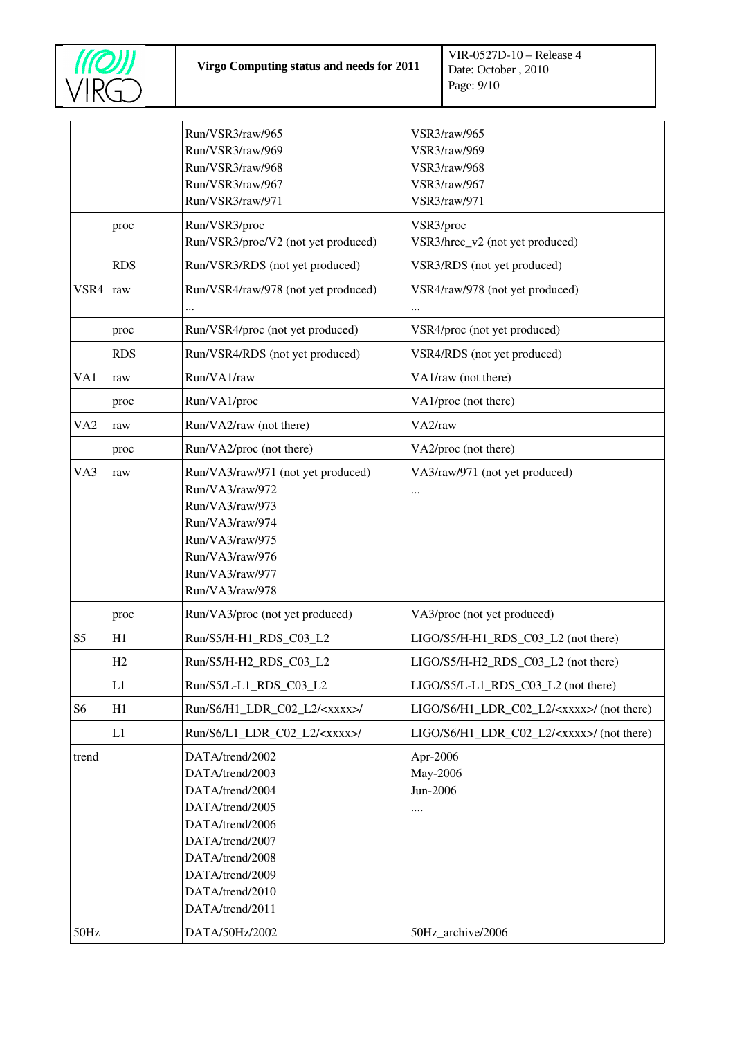

|                 |            | Run/VSR3/raw/965<br>Run/VSR3/raw/969<br>Run/VSR3/raw/968<br>Run/VSR3/raw/967<br>Run/VSR3/raw/971                                                                                           | VSR3/raw/965<br>VSR3/raw/969<br>VSR3/raw/968<br>VSR3/raw/967<br><b>VSR3/raw/971</b> |  |
|-----------------|------------|--------------------------------------------------------------------------------------------------------------------------------------------------------------------------------------------|-------------------------------------------------------------------------------------|--|
|                 | proc       | Run/VSR3/proc<br>Run/VSR3/proc/V2 (not yet produced)                                                                                                                                       | VSR3/proc<br>VSR3/hrec_v2 (not yet produced)                                        |  |
|                 | <b>RDS</b> | Run/VSR3/RDS (not yet produced)                                                                                                                                                            | VSR3/RDS (not yet produced)                                                         |  |
| VSR4            | raw        | Run/VSR4/raw/978 (not yet produced)                                                                                                                                                        | VSR4/raw/978 (not yet produced)<br>                                                 |  |
|                 | proc       | Run/VSR4/proc (not yet produced)                                                                                                                                                           | VSR4/proc (not yet produced)                                                        |  |
|                 | <b>RDS</b> | Run/VSR4/RDS (not yet produced)                                                                                                                                                            | VSR4/RDS (not yet produced)                                                         |  |
| VA1             | raw        | Run/VA1/raw                                                                                                                                                                                | VA1/raw (not there)                                                                 |  |
|                 | proc       | Run/VA1/proc                                                                                                                                                                               | VA1/proc (not there)                                                                |  |
| VA <sub>2</sub> | raw        | Run/VA2/raw (not there)                                                                                                                                                                    | VA <sub>2</sub> /raw                                                                |  |
|                 | proc       | Run/VA2/proc (not there)                                                                                                                                                                   | VA2/proc (not there)                                                                |  |
| VA3             | raw        | Run/VA3/raw/971 (not yet produced)<br>Run/VA3/raw/972<br>Run/VA3/raw/973<br>Run/VA3/raw/974<br>Run/VA3/raw/975<br>Run/VA3/raw/976<br>Run/VA3/raw/977<br>Run/VA3/raw/978                    | VA3/raw/971 (not yet produced)                                                      |  |
|                 | proc       | Run/VA3/proc (not yet produced)                                                                                                                                                            | VA3/proc (not yet produced)                                                         |  |
| S <sub>5</sub>  | H1         | Run/S5/H-H1_RDS_C03_L2                                                                                                                                                                     | LIGO/S5/H-H1_RDS_C03_L2 (not there)                                                 |  |
|                 | H2         | Run/S5/H-H2_RDS_C03_L2                                                                                                                                                                     | LIGO/S5/H-H2_RDS_C03_L2 (not there)                                                 |  |
|                 | L1         | Run/S5/L-L1_RDS_C03_L2                                                                                                                                                                     | LIGO/S5/L-L1 RDS C03 L2 (not there)                                                 |  |
| S <sub>6</sub>  | H1         | Run/S6/H1_LDR_C02_L2/ <xxxx>/</xxxx>                                                                                                                                                       | LIGO/S6/H1_LDR_C02_L2/ <xxxx>/ (not there)</xxxx>                                   |  |
|                 | L1         | Run/S6/L1_LDR_C02_L2/ <xxxx>/</xxxx>                                                                                                                                                       | LIGO/S6/H1_LDR_C02_L2/ <xxxx>/ (not there)</xxxx>                                   |  |
| trend           |            | DATA/trend/2002<br>DATA/trend/2003<br>DATA/trend/2004<br>DATA/trend/2005<br>DATA/trend/2006<br>DATA/trend/2007<br>DATA/trend/2008<br>DATA/trend/2009<br>DATA/trend/2010<br>DATA/trend/2011 | Apr-2006<br>May-2006<br>Jun-2006<br>                                                |  |
| 50Hz            |            | DATA/50Hz/2002                                                                                                                                                                             | 50Hz_archive/2006                                                                   |  |